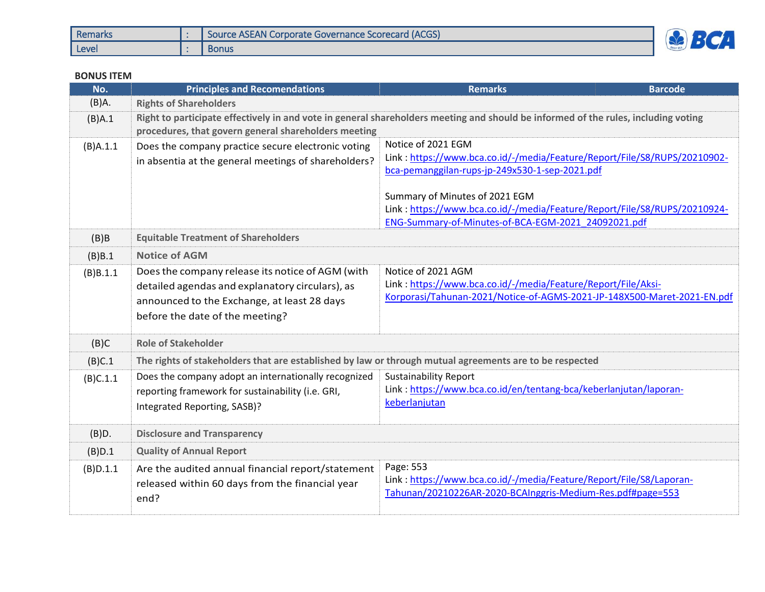| Remarks | Source ASEAN Corporate Governance Scorecard (ACGS) | $\blacksquare$ |
|---------|----------------------------------------------------|----------------|
| Level   | <b>Bonus</b>                                       |                |

## **BONUS ITEM**

| No.         | <b>Principles and Recomendations</b>                                                                                                                                                       | <b>Remarks</b>                                                                                                                                                 | <b>Barcode</b>                                                                                                                                                                                                |  |  |
|-------------|--------------------------------------------------------------------------------------------------------------------------------------------------------------------------------------------|----------------------------------------------------------------------------------------------------------------------------------------------------------------|---------------------------------------------------------------------------------------------------------------------------------------------------------------------------------------------------------------|--|--|
| $(B)$ A.    | <b>Rights of Shareholders</b>                                                                                                                                                              |                                                                                                                                                                |                                                                                                                                                                                                               |  |  |
| (B)A.1      | Right to participate effectively in and vote in general shareholders meeting and should be informed of the rules, including voting<br>procedures, that govern general shareholders meeting |                                                                                                                                                                |                                                                                                                                                                                                               |  |  |
| $(B)$ A.1.1 | Does the company practice secure electronic voting<br>in absentia at the general meetings of shareholders?                                                                                 | Notice of 2021 EGM<br>bca-pemanggilan-rups-jp-249x530-1-sep-2021.pdf<br>Summary of Minutes of 2021 EGM                                                         | Link: https://www.bca.co.id/-/media/Feature/Report/File/S8/RUPS/20210902-<br>Link: https://www.bca.co.id/-/media/Feature/Report/File/S8/RUPS/20210924-<br>ENG-Summary-of-Minutes-of-BCA-EGM-2021 24092021.pdf |  |  |
| $(B)$ B     | <b>Equitable Treatment of Shareholders</b>                                                                                                                                                 |                                                                                                                                                                |                                                                                                                                                                                                               |  |  |
| (B)B.1      | <b>Notice of AGM</b>                                                                                                                                                                       |                                                                                                                                                                |                                                                                                                                                                                                               |  |  |
| (B)B.1.1    | Does the company release its notice of AGM (with<br>detailed agendas and explanatory circulars), as<br>announced to the Exchange, at least 28 days<br>before the date of the meeting?      | Notice of 2021 AGM<br>Link: https://www.bca.co.id/-/media/Feature/Report/File/Aksi-<br>Korporasi/Tahunan-2021/Notice-of-AGMS-2021-JP-148X500-Maret-2021-EN.pdf |                                                                                                                                                                                                               |  |  |
| (B)C        | <b>Role of Stakeholder</b>                                                                                                                                                                 |                                                                                                                                                                |                                                                                                                                                                                                               |  |  |
| (B)C.1      | The rights of stakeholders that are established by law or through mutual agreements are to be respected                                                                                    |                                                                                                                                                                |                                                                                                                                                                                                               |  |  |
| (B)C.1.1    | Does the company adopt an internationally recognized<br>reporting framework for sustainability (i.e. GRI,<br>Integrated Reporting, SASB)?                                                  | <b>Sustainability Report</b><br>Link: https://www.bca.co.id/en/tentang-bca/keberlanjutan/laporan-<br>keberlanjutan                                             |                                                                                                                                                                                                               |  |  |
| (B)D.       | <b>Disclosure and Transparency</b>                                                                                                                                                         |                                                                                                                                                                |                                                                                                                                                                                                               |  |  |
| (B)D.1      | <b>Quality of Annual Report</b>                                                                                                                                                            |                                                                                                                                                                |                                                                                                                                                                                                               |  |  |
| (B)D.1.1    | Are the audited annual financial report/statement<br>released within 60 days from the financial year<br>end?                                                                               | Page: 553<br>Link: https://www.bca.co.id/-/media/Feature/Report/File/S8/Laporan-<br>Tahunan/20210226AR-2020-BCAInggris-Medium-Res.pdf#page=553                 |                                                                                                                                                                                                               |  |  |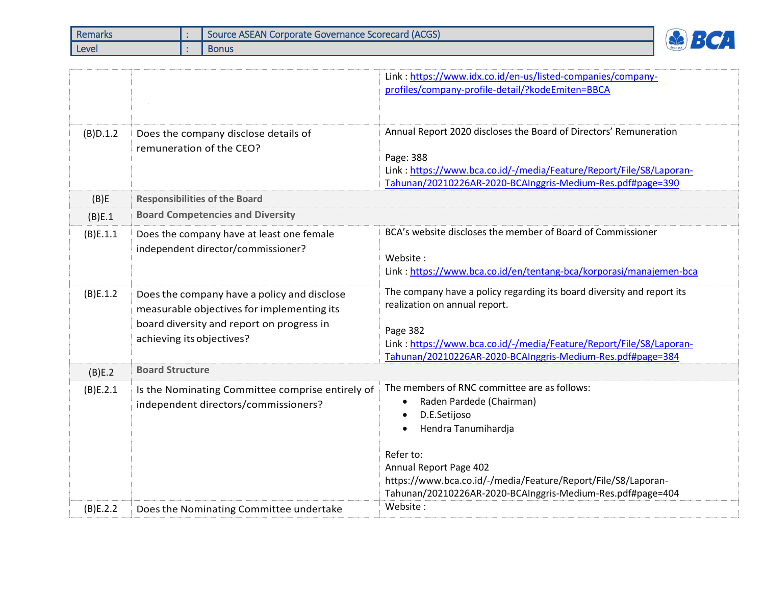| Remarks | Source ASEAN Corporate Governance Scorecard (ACGS) |              |  |
|---------|----------------------------------------------------|--------------|--|
| Level   |                                                    | <b>Bonus</b> |  |

|          |                                                                                                                                                                     | Link: https://www.idx.co.id/en-us/listed-companies/company-<br>profiles/company-profile-detail/?kodeEmiten=BBCA                                                                                                                                                                                                 |  |  |
|----------|---------------------------------------------------------------------------------------------------------------------------------------------------------------------|-----------------------------------------------------------------------------------------------------------------------------------------------------------------------------------------------------------------------------------------------------------------------------------------------------------------|--|--|
| (B)D.1.2 | Does the company disclose details of<br>remuneration of the CEO?                                                                                                    | Annual Report 2020 discloses the Board of Directors' Remuneration<br>Page: 388<br>Link: https://www.bca.co.id/-/media/Feature/Report/File/S8/Laporan-<br>Tahunan/20210226AR-2020-BCAInggris-Medium-Res.pdf#page=390                                                                                             |  |  |
| (B)E     | <b>Responsibilities of the Board</b>                                                                                                                                |                                                                                                                                                                                                                                                                                                                 |  |  |
| (B)E.1   | <b>Board Competencies and Diversity</b>                                                                                                                             |                                                                                                                                                                                                                                                                                                                 |  |  |
| (B)E.1.1 | Does the company have at least one female<br>independent director/commissioner?                                                                                     | BCA's website discloses the member of Board of Commissioner<br>Website:<br>Link: https://www.bca.co.id/en/tentang-bca/korporasi/manajemen-bca                                                                                                                                                                   |  |  |
| (B)E.1.2 | Does the company have a policy and disclose<br>measurable objectives for implementing its<br>board diversity and report on progress in<br>achieving its objectives? | The company have a policy regarding its board diversity and report its<br>realization on annual report.<br>Page 382<br>Link: https://www.bca.co.id/-/media/Feature/Report/File/S8/Laporan-<br>Tahunan/20210226AR-2020-BCAInggris-Medium-Res.pdf#page=384                                                        |  |  |
| (B)E.2   | <b>Board Structure</b>                                                                                                                                              |                                                                                                                                                                                                                                                                                                                 |  |  |
| (B)E.2.1 | Is the Nominating Committee comprise entirely of<br>independent directors/commissioners?                                                                            | The members of RNC committee are as follows:<br>Raden Pardede (Chairman)<br>$\bullet$<br>D.E.Setijoso<br>$\bullet$<br>Hendra Tanumihardja<br>Refer to:<br>Annual Report Page 402<br>https://www.bca.co.id/-/media/Feature/Report/File/S8/Laporan-<br>Tahunan/20210226AR-2020-BCAInggris-Medium-Res.pdf#page=404 |  |  |
| (B)E.2.2 | Does the Nominating Committee undertake                                                                                                                             | Website:                                                                                                                                                                                                                                                                                                        |  |  |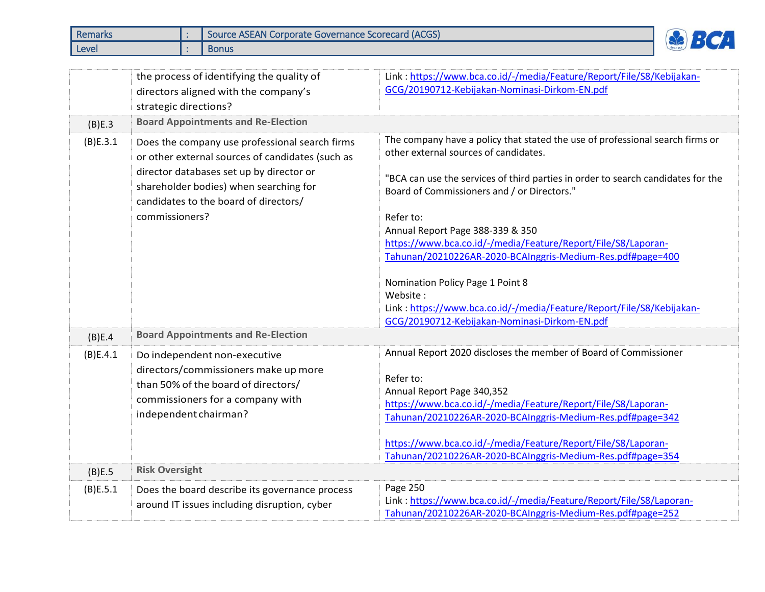| Remarks | Source ASEAN Corporate Governance Scorecard (ACGS) |                          |
|---------|----------------------------------------------------|--------------------------|
| Level   | <b>Bonus</b>                                       | $\overline{\phantom{0}}$ |

|          | the process of identifying the quality of<br>directors aligned with the company's<br>strategic directions?                                                                                                                                          | Link: https://www.bca.co.id/-/media/Feature/Report/File/S8/Kebijakan-<br>GCG/20190712-Kebijakan-Nominasi-Dirkom-EN.pdf                                                                                                                                                                                                                                                                                                                                                                                                                                                                                              |
|----------|-----------------------------------------------------------------------------------------------------------------------------------------------------------------------------------------------------------------------------------------------------|---------------------------------------------------------------------------------------------------------------------------------------------------------------------------------------------------------------------------------------------------------------------------------------------------------------------------------------------------------------------------------------------------------------------------------------------------------------------------------------------------------------------------------------------------------------------------------------------------------------------|
| (B)E.3   | <b>Board Appointments and Re-Election</b>                                                                                                                                                                                                           |                                                                                                                                                                                                                                                                                                                                                                                                                                                                                                                                                                                                                     |
| (B)E.3.1 | Does the company use professional search firms<br>or other external sources of candidates (such as<br>director databases set up by director or<br>shareholder bodies) when searching for<br>candidates to the board of directors/<br>commissioners? | The company have a policy that stated the use of professional search firms or<br>other external sources of candidates.<br>"BCA can use the services of third parties in order to search candidates for the<br>Board of Commissioners and / or Directors."<br>Refer to:<br>Annual Report Page 388-339 & 350<br>https://www.bca.co.id/-/media/Feature/Report/File/S8/Laporan-<br>Tahunan/20210226AR-2020-BCAInggris-Medium-Res.pdf#page=400<br>Nomination Policy Page 1 Point 8<br>Website:<br>Link: https://www.bca.co.id/-/media/Feature/Report/File/S8/Kebijakan-<br>GCG/20190712-Kebijakan-Nominasi-Dirkom-EN.pdf |
| (B)E.4   | <b>Board Appointments and Re-Election</b>                                                                                                                                                                                                           |                                                                                                                                                                                                                                                                                                                                                                                                                                                                                                                                                                                                                     |
| (B)E.4.1 | Do independent non-executive<br>directors/commissioners make up more<br>than 50% of the board of directors/<br>commissioners for a company with<br>independent chairman?                                                                            | Annual Report 2020 discloses the member of Board of Commissioner<br>Refer to:<br>Annual Report Page 340,352<br>https://www.bca.co.id/-/media/Feature/Report/File/S8/Laporan-<br>Tahunan/20210226AR-2020-BCAInggris-Medium-Res.pdf#page=342<br>https://www.bca.co.id/-/media/Feature/Report/File/S8/Laporan-<br>Tahunan/20210226AR-2020-BCAInggris-Medium-Res.pdf#page=354                                                                                                                                                                                                                                           |
| (B)E.5   | <b>Risk Oversight</b>                                                                                                                                                                                                                               |                                                                                                                                                                                                                                                                                                                                                                                                                                                                                                                                                                                                                     |
| (B)E.5.1 | Does the board describe its governance process<br>around IT issues including disruption, cyber                                                                                                                                                      | Page 250<br>Link: https://www.bca.co.id/-/media/Feature/Report/File/S8/Laporan-<br>Tahunan/20210226AR-2020-BCAInggris-Medium-Res.pdf#page=252                                                                                                                                                                                                                                                                                                                                                                                                                                                                       |